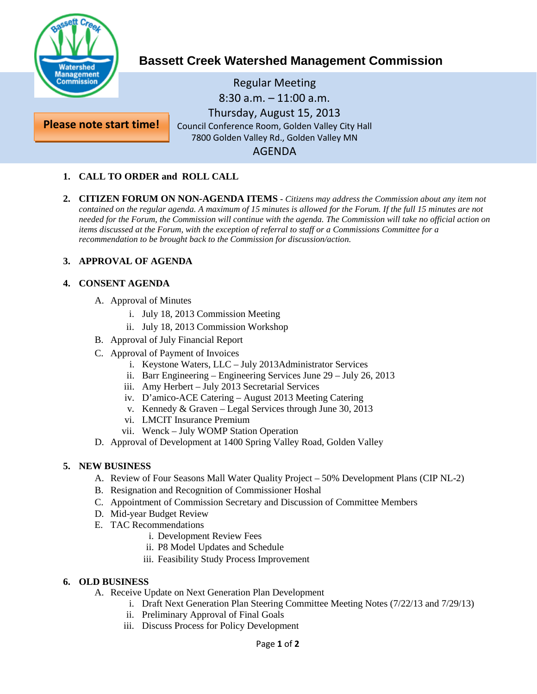

**Please note start time!**

# **Bassett Creek Watershed Management Commission**

Regular Meeting 8:30 a.m. – 11:00 a.m. Thursday, August 15, 2013 Council Conference Room, Golden Valley City Hall 7800 Golden Valley Rd., Golden Valley MN AGENDA

### **1. CALL TO ORDER and ROLL CALL**

**2. CITIZEN FORUM ON NON-AGENDA ITEMS -** *Citizens may address the Commission about any item not*  contained on the regular agenda. A maximum of 15 minutes is allowed for the Forum. If the full 15 minutes are not *needed for the Forum, the Commission will continue with the agenda. The Commission will take no official action on items discussed at the Forum, with the exception of referral to staff or a Commissions Committee for a recommendation to be brought back to the Commission for discussion/action.*

#### **3. APPROVAL OF AGENDA**

#### **4. CONSENT AGENDA**

- A. Approval of Minutes
	- i. July 18, 2013 Commission Meeting
	- ii. July 18, 2013 Commission Workshop
- B. Approval of July Financial Report
- C. Approval of Payment of Invoices
	- i. Keystone Waters, LLC July 2013Administrator Services
	- ii. Barr Engineering Engineering Services June 29 July 26, 2013
	- iii. Amy Herbert July 2013 Secretarial Services
	- iv. D'amico-ACE Catering August 2013 Meeting Catering
	- v. Kennedy & Graven Legal Services through June 30, 2013
	- vi. LMCIT Insurance Premium
	- vii. Wenck July WOMP Station Operation
- D. Approval of Development at 1400 Spring Valley Road, Golden Valley

#### **5. NEW BUSINESS**

- A. Review of Four Seasons Mall Water Quality Project 50% Development Plans (CIP NL-2)
- B. Resignation and Recognition of Commissioner Hoshal
- C. Appointment of Commission Secretary and Discussion of Committee Members
- D. Mid-year Budget Review
- E. TAC Recommendations
	- i. Development Review Fees
	- ii. P8 Model Updates and Schedule
	- iii. Feasibility Study Process Improvement

#### **6. OLD BUSINESS**

- A. Receive Update on Next Generation Plan Development
	- i. Draft Next Generation Plan Steering Committee Meeting Notes (7/22/13 and 7/29/13)
	- ii. Preliminary Approval of Final Goals
	- iii. Discuss Process for Policy Development